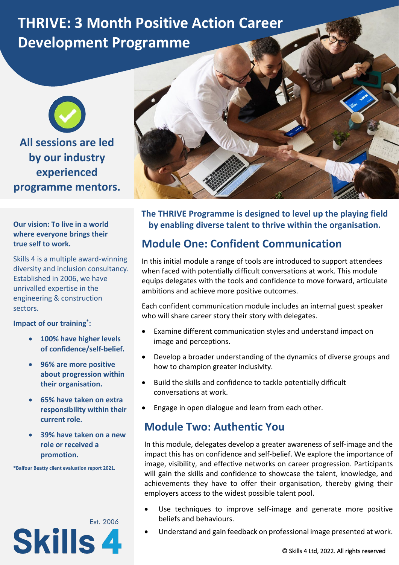# **THRIVE: 3 Month Positive Action Career Development Programme**

**All sessions are led by our industry experienced programme mentors.**

#### **Our vision: To live in a world where everyone brings their true self to work.**

Skills 4 is a multiple award-winning diversity and inclusion consultancy. Established in 2006, we have unrivalled expertise in the engineering & construction sectors.

**Impact of our training\*:**

- **100% have higher levels of confidence/self-belief.**
- **96% are more positive about progression within their organisation.**
- **65% have taken on extra responsibility within their current role.**
- **39% have taken on a new role or received a promotion.**

**\*Balfour Beatty client evaluation report 2021.**





**The THRIVE Programme is designed to level up the playing field by enabling diverse talent to thrive within the organisation.**

# **Module One: Confident Communication**

In this initial module a range of tools are introduced to support attendees when faced with potentially difficult conversations at work. This module equips delegates with the tools and confidence to move forward, articulate ambitions and achieve more positive outcomes.

Each confident communication module includes an internal guest speaker who will share career story their story with delegates.

- Examine different communication styles and understand impact on image and perceptions.
- Develop a broader understanding of the dynamics of diverse groups and how to champion greater inclusivity.
- Build the skills and confidence to tackle potentially difficult conversations at work.
- Engage in open dialogue and learn from each other.

### **Module Two: Authentic You**

In this module, delegates develop a greater awareness of self-image and the impact this has on confidence and self-belief. We explore the importance of image, visibility, and effective networks on career progression. Participants will gain the skills and confidence to showcase the talent, knowledge, and achievements they have to offer their organisation, thereby giving their employers access to the widest possible talent pool.

- Use techniques to improve self-image and generate more positive beliefs and behaviours.
- Understand and gain feedback on professional image presented at work.

© Skills 4 Ltd, 2022. All rights reserved